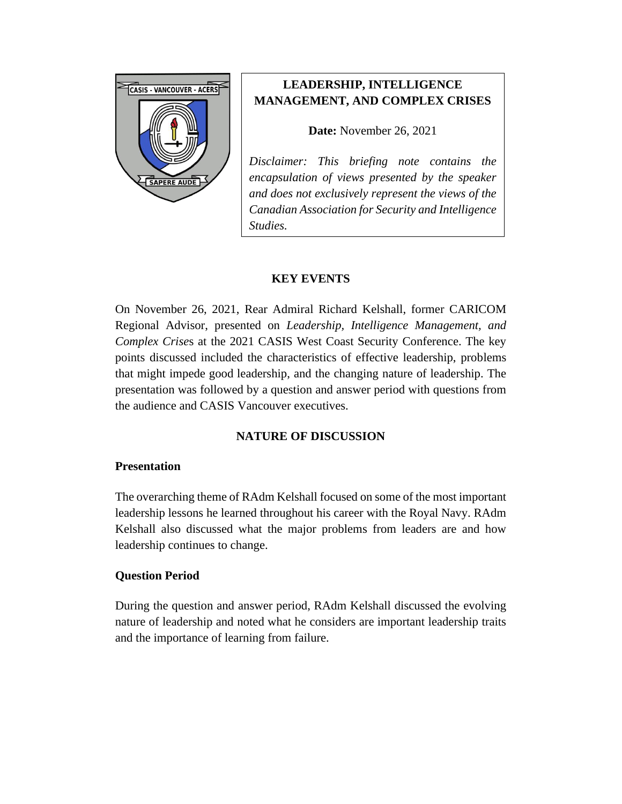

# **LEADERSHIP, INTELLIGENCE MANAGEMENT, AND COMPLEX CRISES**

#### **Date:** November 26, 2021

*Disclaimer: This briefing note contains the encapsulation of views presented by the speaker and does not exclusively represent the views of the Canadian Association for Security and Intelligence Studies.* 

## **KEY EVENTS**

On November 26, 2021, Rear Admiral Richard Kelshall, former CARICOM Regional Advisor, presented on *Leadership, Intelligence Management, and Complex Crise*s at the 2021 CASIS West Coast Security Conference. The key points discussed included the characteristics of effective leadership, problems that might impede good leadership, and the changing nature of leadership. The presentation was followed by a question and answer period with questions from the audience and CASIS Vancouver executives.

# **NATURE OF DISCUSSION**

#### **Presentation**

The overarching theme of RAdm Kelshall focused on some of the most important leadership lessons he learned throughout his career with the Royal Navy. RAdm Kelshall also discussed what the major problems from leaders are and how leadership continues to change.

#### **Question Period**

During the question and answer period, RAdm Kelshall discussed the evolving nature of leadership and noted what he considers are important leadership traits and the importance of learning from failure.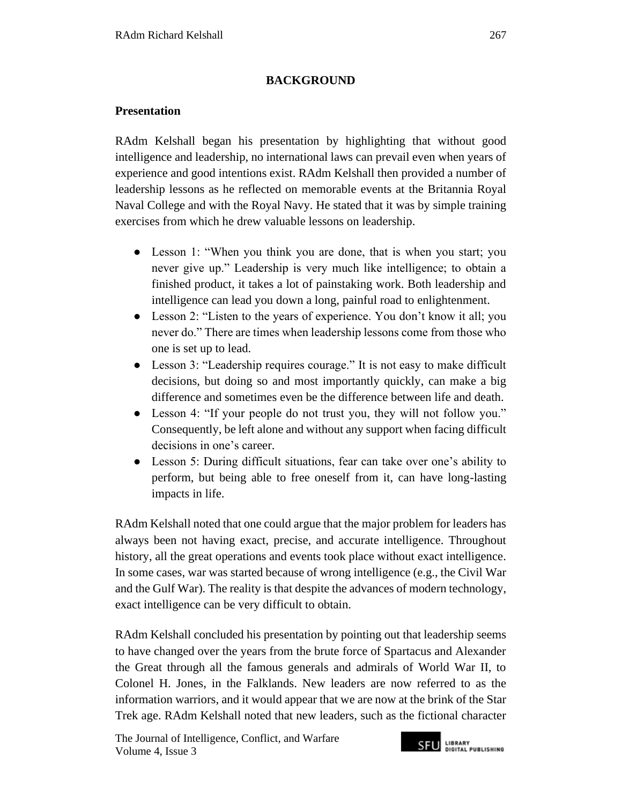## **BACKGROUND**

## **Presentation**

RAdm Kelshall began his presentation by highlighting that without good intelligence and leadership, no international laws can prevail even when years of experience and good intentions exist. RAdm Kelshall then provided a number of leadership lessons as he reflected on memorable events at the Britannia Royal Naval College and with the Royal Navy. He stated that it was by simple training exercises from which he drew valuable lessons on leadership.

- Lesson 1: "When you think you are done, that is when you start; you never give up." Leadership is very much like intelligence; to obtain a finished product, it takes a lot of painstaking work. Both leadership and intelligence can lead you down a long, painful road to enlightenment.
- Lesson 2: "Listen to the years of experience. You don't know it all; you never do." There are times when leadership lessons come from those who one is set up to lead.
- Lesson 3: "Leadership requires courage." It is not easy to make difficult decisions, but doing so and most importantly quickly, can make a big difference and sometimes even be the difference between life and death.
- Lesson 4: "If your people do not trust you, they will not follow you." Consequently, be left alone and without any support when facing difficult decisions in one's career.
- Lesson 5: During difficult situations, fear can take over one's ability to perform, but being able to free oneself from it, can have long-lasting impacts in life.

RAdm Kelshall noted that one could argue that the major problem for leaders has always been not having exact, precise, and accurate intelligence. Throughout history, all the great operations and events took place without exact intelligence. In some cases, war was started because of wrong intelligence (e.g., the Civil War and the Gulf War). The reality is that despite the advances of modern technology, exact intelligence can be very difficult to obtain.

RAdm Kelshall concluded his presentation by pointing out that leadership seems to have changed over the years from the brute force of Spartacus and Alexander the Great through all the famous generals and admirals of World War II, to Colonel H. Jones, in the Falklands. New leaders are now referred to as the information warriors, and it would appear that we are now at the brink of the Star Trek age. RAdm Kelshall noted that new leaders, such as the fictional character

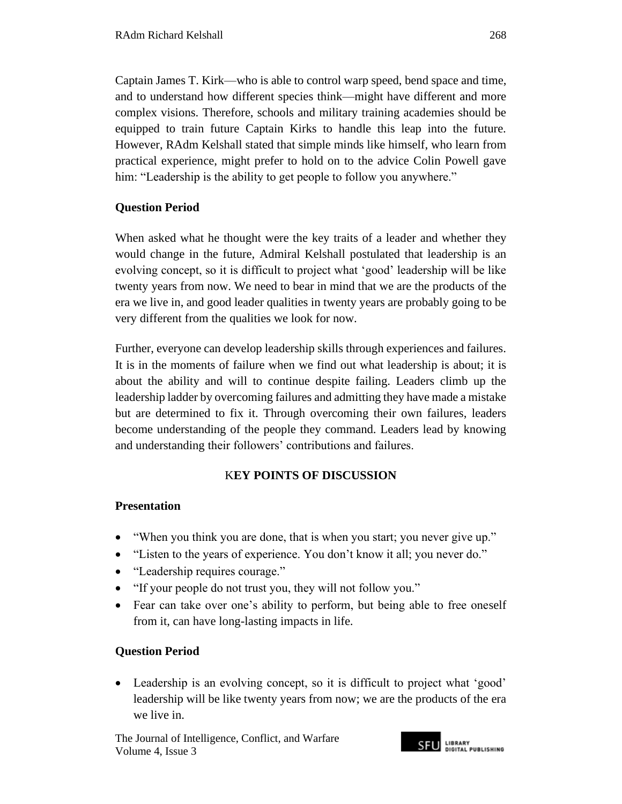Captain James T. Kirk—who is able to control warp speed, bend space and time, and to understand how different species think—might have different and more complex visions. Therefore, schools and military training academies should be equipped to train future Captain Kirks to handle this leap into the future. However, RAdm Kelshall stated that simple minds like himself, who learn from practical experience, might prefer to hold on to the advice Colin Powell gave him: "Leadership is the ability to get people to follow you anywhere."

### **Question Period**

When asked what he thought were the key traits of a leader and whether they would change in the future, Admiral Kelshall postulated that leadership is an evolving concept, so it is difficult to project what 'good' leadership will be like twenty years from now. We need to bear in mind that we are the products of the era we live in, and good leader qualities in twenty years are probably going to be very different from the qualities we look for now.

Further, everyone can develop leadership skills through experiences and failures. It is in the moments of failure when we find out what leadership is about; it is about the ability and will to continue despite failing. Leaders climb up the leadership ladder by overcoming failures and admitting they have made a mistake but are determined to fix it. Through overcoming their own failures, leaders become understanding of the people they command. Leaders lead by knowing and understanding their followers' contributions and failures.

## K**EY POINTS OF DISCUSSION**

## **Presentation**

- "When you think you are done, that is when you start; you never give up."
- "Listen to the years of experience. You don't know it all; you never do."
- "Leadership requires courage."
- "If your people do not trust you, they will not follow you."
- Fear can take over one's ability to perform, but being able to free oneself from it, can have long-lasting impacts in life.

## **Question Period**

• Leadership is an evolving concept, so it is difficult to project what 'good' leadership will be like twenty years from now; we are the products of the era we live in.

The Journal of Intelligence, Conflict*,* and Warfare Volume 4, Issue 3